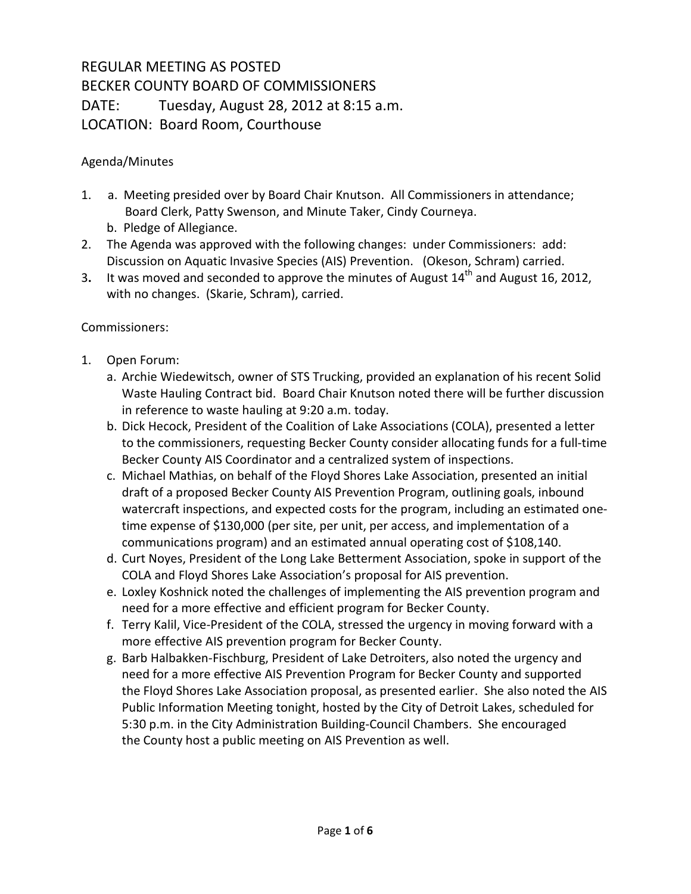## REGULAR MEETING AS POSTED BECKER COUNTY BOARD OF COMMISSIONERS DATE: Tuesday, August 28, 2012 at 8:15 a.m. LOCATION: Board Room, Courthouse

## Agenda/Minutes

- 1. a. Meeting presided over by Board Chair Knutson. All Commissioners in attendance; Board Clerk, Patty Swenson, and Minute Taker, Cindy Courneya.
	- b. Pledge of Allegiance.
- 2. The Agenda was approved with the following changes: under Commissioners: add: Discussion on Aquatic Invasive Species (AIS) Prevention. (Okeson, Schram) carried.
- 3. It was moved and seconded to approve the minutes of August 14<sup>th</sup> and August 16, 2012, with no changes. (Skarie, Schram), carried.

## Commissioners:

- 1. Open Forum:
	- a. Archie Wiedewitsch, owner of STS Trucking, provided an explanation of his recent Solid Waste Hauling Contract bid. Board Chair Knutson noted there will be further discussion in reference to waste hauling at 9:20 a.m. today.
	- b. Dick Hecock, President of the Coalition of Lake Associations (COLA), presented a letter to the commissioners, requesting Becker County consider allocating funds for a full-time Becker County AIS Coordinator and a centralized system of inspections.
	- c. Michael Mathias, on behalf of the Floyd Shores Lake Association, presented an initial draft of a proposed Becker County AIS Prevention Program, outlining goals, inbound watercraft inspections, and expected costs for the program, including an estimated onetime expense of \$130,000 (per site, per unit, per access, and implementation of a communications program) and an estimated annual operating cost of \$108,140.
	- d. Curt Noyes, President of the Long Lake Betterment Association, spoke in support of the COLA and Floyd Shores Lake Association's proposal for AIS prevention.
	- e. Loxley Koshnick noted the challenges of implementing the AIS prevention program and need for a more effective and efficient program for Becker County.
	- f. Terry Kalil, Vice-President of the COLA, stressed the urgency in moving forward with a more effective AIS prevention program for Becker County.
	- g. Barb Halbakken-Fischburg, President of Lake Detroiters, also noted the urgency and need for a more effective AIS Prevention Program for Becker County and supported the Floyd Shores Lake Association proposal, as presented earlier. She also noted the AIS Public Information Meeting tonight, hosted by the City of Detroit Lakes, scheduled for 5:30 p.m. in the City Administration Building-Council Chambers. She encouraged the County host a public meeting on AIS Prevention as well.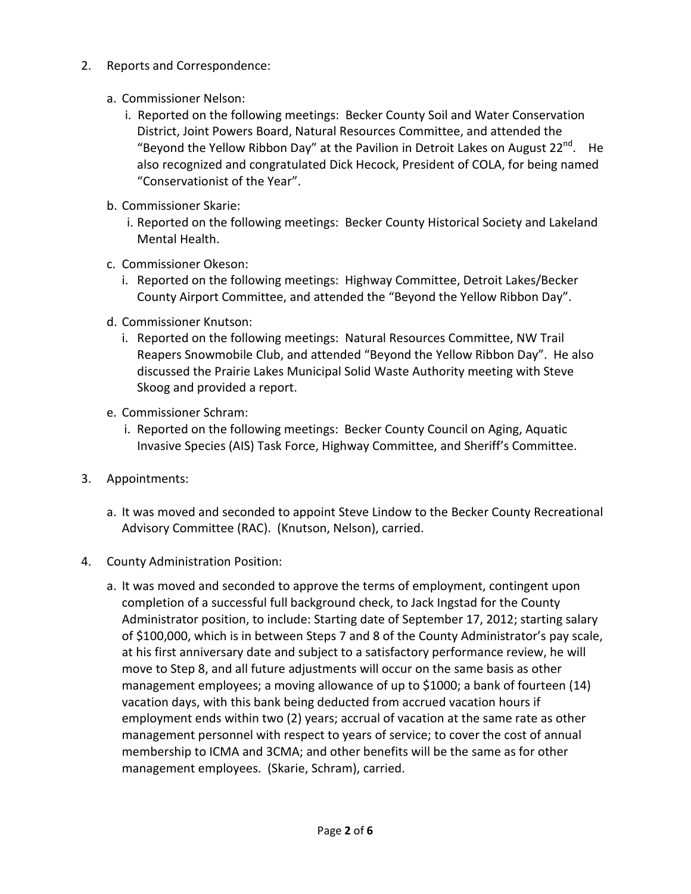- 2. Reports and Correspondence:
	- a. Commissioner Nelson:
		- i. Reported on the following meetings: Becker County Soil and Water Conservation District, Joint Powers Board, Natural Resources Committee, and attended the "Beyond the Yellow Ribbon Day" at the Pavilion in Detroit Lakes on August 22 $n^{\alpha}$ . He also recognized and congratulated Dick Hecock, President of COLA, for being named "Conservationist of the Year".
	- b. Commissioner Skarie:
		- i. Reported on the following meetings: Becker County Historical Society and Lakeland Mental Health.
	- c. Commissioner Okeson:
		- i. Reported on the following meetings: Highway Committee, Detroit Lakes/Becker County Airport Committee, and attended the "Beyond the Yellow Ribbon Day".
	- d. Commissioner Knutson:
		- i. Reported on the following meetings: Natural Resources Committee, NW Trail Reapers Snowmobile Club, and attended "Beyond the Yellow Ribbon Day". He also discussed the Prairie Lakes Municipal Solid Waste Authority meeting with Steve Skoog and provided a report.
	- e. Commissioner Schram:
		- i. Reported on the following meetings: Becker County Council on Aging, Aquatic Invasive Species (AIS) Task Force, Highway Committee, and Sheriff's Committee.
- 3. Appointments:
	- a. It was moved and seconded to appoint Steve Lindow to the Becker County Recreational Advisory Committee (RAC). (Knutson, Nelson), carried.
- 4. County Administration Position:
	- a. It was moved and seconded to approve the terms of employment, contingent upon completion of a successful full background check, to Jack Ingstad for the County Administrator position, to include: Starting date of September 17, 2012; starting salary of \$100,000, which is in between Steps 7 and 8 of the County Administrator's pay scale, at his first anniversary date and subject to a satisfactory performance review, he will move to Step 8, and all future adjustments will occur on the same basis as other management employees; a moving allowance of up to \$1000; a bank of fourteen (14) vacation days, with this bank being deducted from accrued vacation hours if employment ends within two (2) years; accrual of vacation at the same rate as other management personnel with respect to years of service; to cover the cost of annual membership to ICMA and 3CMA; and other benefits will be the same as for other management employees. (Skarie, Schram), carried.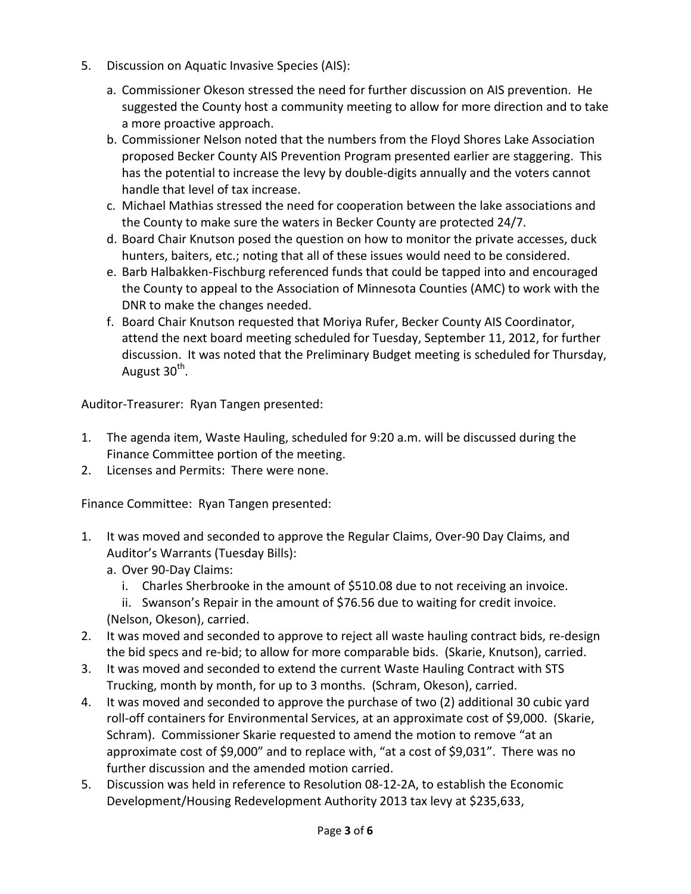- 5. Discussion on Aquatic Invasive Species (AIS):
	- a. Commissioner Okeson stressed the need for further discussion on AIS prevention. He suggested the County host a community meeting to allow for more direction and to take a more proactive approach.
	- b. Commissioner Nelson noted that the numbers from the Floyd Shores Lake Association proposed Becker County AIS Prevention Program presented earlier are staggering. This has the potential to increase the levy by double-digits annually and the voters cannot handle that level of tax increase.
	- c. Michael Mathias stressed the need for cooperation between the lake associations and the County to make sure the waters in Becker County are protected 24/7.
	- d. Board Chair Knutson posed the question on how to monitor the private accesses, duck hunters, baiters, etc.; noting that all of these issues would need to be considered.
	- e. Barb Halbakken-Fischburg referenced funds that could be tapped into and encouraged the County to appeal to the Association of Minnesota Counties (AMC) to work with the DNR to make the changes needed.
	- f. Board Chair Knutson requested that Moriya Rufer, Becker County AIS Coordinator, attend the next board meeting scheduled for Tuesday, September 11, 2012, for further discussion. It was noted that the Preliminary Budget meeting is scheduled for Thursday, August 30<sup>th</sup>.

Auditor-Treasurer: Ryan Tangen presented:

- 1. The agenda item, Waste Hauling, scheduled for 9:20 a.m. will be discussed during the Finance Committee portion of the meeting.
- 2. Licenses and Permits: There were none.

Finance Committee: Ryan Tangen presented:

- 1. It was moved and seconded to approve the Regular Claims, Over-90 Day Claims, and Auditor's Warrants (Tuesday Bills):
	- a. Over 90-Day Claims:
		- i. Charles Sherbrooke in the amount of \$510.08 due to not receiving an invoice.
	- ii. Swanson's Repair in the amount of \$76.56 due to waiting for credit invoice. (Nelson, Okeson), carried.
- 2. It was moved and seconded to approve to reject all waste hauling contract bids, re-design the bid specs and re-bid; to allow for more comparable bids. (Skarie, Knutson), carried.
- 3. It was moved and seconded to extend the current Waste Hauling Contract with STS Trucking, month by month, for up to 3 months. (Schram, Okeson), carried.
- 4. It was moved and seconded to approve the purchase of two (2) additional 30 cubic yard roll-off containers for Environmental Services, at an approximate cost of \$9,000. (Skarie, Schram). Commissioner Skarie requested to amend the motion to remove "at an approximate cost of \$9,000" and to replace with, "at a cost of \$9,031". There was no further discussion and the amended motion carried.
- 5. Discussion was held in reference to Resolution 08-12-2A, to establish the Economic Development/Housing Redevelopment Authority 2013 tax levy at \$235,633,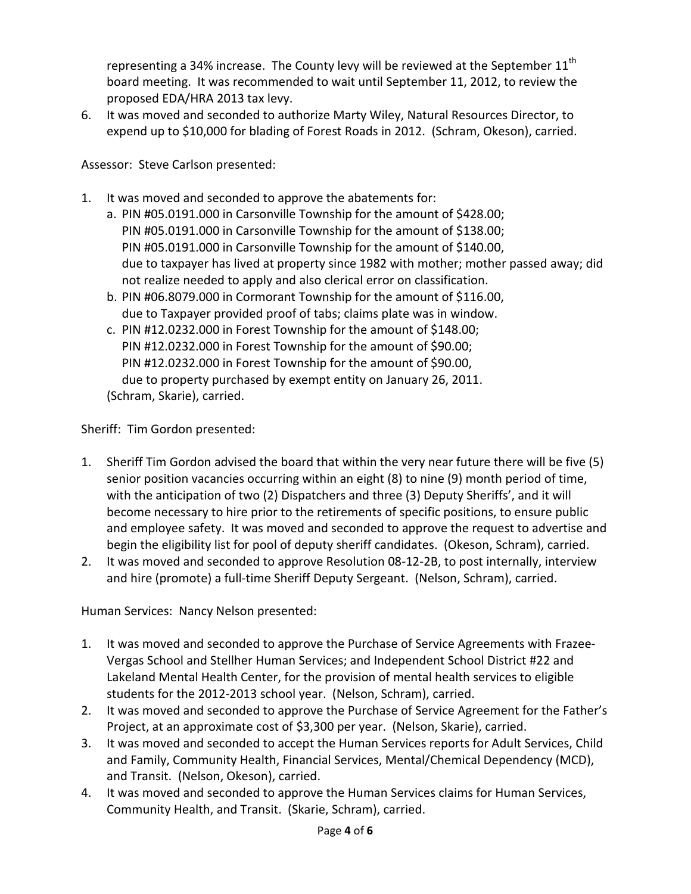representing a 34% increase. The County levy will be reviewed at the September  $11^{\text{th}}$ board meeting. It was recommended to wait until September 11, 2012, to review the proposed EDA/HRA 2013 tax levy.

6. It was moved and seconded to authorize Marty Wiley, Natural Resources Director, to expend up to \$10,000 for blading of Forest Roads in 2012. (Schram, Okeson), carried.

Assessor: Steve Carlson presented:

- 1. It was moved and seconded to approve the abatements for:
	- a. PIN #05.0191.000 in Carsonville Township for the amount of \$428.00; PIN #05.0191.000 in Carsonville Township for the amount of \$138.00; PIN #05.0191.000 in Carsonville Township for the amount of \$140.00, due to taxpayer has lived at property since 1982 with mother; mother passed away; did not realize needed to apply and also clerical error on classification.
	- b. PIN #06.8079.000 in Cormorant Township for the amount of \$116.00, due to Taxpayer provided proof of tabs; claims plate was in window.
	- c. PIN #12.0232.000 in Forest Township for the amount of \$148.00; PIN #12.0232.000 in Forest Township for the amount of \$90.00; PIN #12.0232.000 in Forest Township for the amount of \$90.00, due to property purchased by exempt entity on January 26, 2011. (Schram, Skarie), carried.

Sheriff: Tim Gordon presented:

- 1. Sheriff Tim Gordon advised the board that within the very near future there will be five (5) senior position vacancies occurring within an eight (8) to nine (9) month period of time, with the anticipation of two (2) Dispatchers and three (3) Deputy Sheriffs', and it will become necessary to hire prior to the retirements of specific positions, to ensure public and employee safety. It was moved and seconded to approve the request to advertise and begin the eligibility list for pool of deputy sheriff candidates. (Okeson, Schram), carried.
- 2. It was moved and seconded to approve Resolution 08-12-2B, to post internally, interview and hire (promote) a full-time Sheriff Deputy Sergeant. (Nelson, Schram), carried.

Human Services: Nancy Nelson presented:

- 1. It was moved and seconded to approve the Purchase of Service Agreements with Frazee-Vergas School and Stellher Human Services; and Independent School District #22 and Lakeland Mental Health Center, for the provision of mental health services to eligible students for the 2012-2013 school year. (Nelson, Schram), carried.
- 2. It was moved and seconded to approve the Purchase of Service Agreement for the Father's Project, at an approximate cost of \$3,300 per year. (Nelson, Skarie), carried.
- 3. It was moved and seconded to accept the Human Services reports for Adult Services, Child and Family, Community Health, Financial Services, Mental/Chemical Dependency (MCD), and Transit. (Nelson, Okeson), carried.
- 4. It was moved and seconded to approve the Human Services claims for Human Services, Community Health, and Transit. (Skarie, Schram), carried.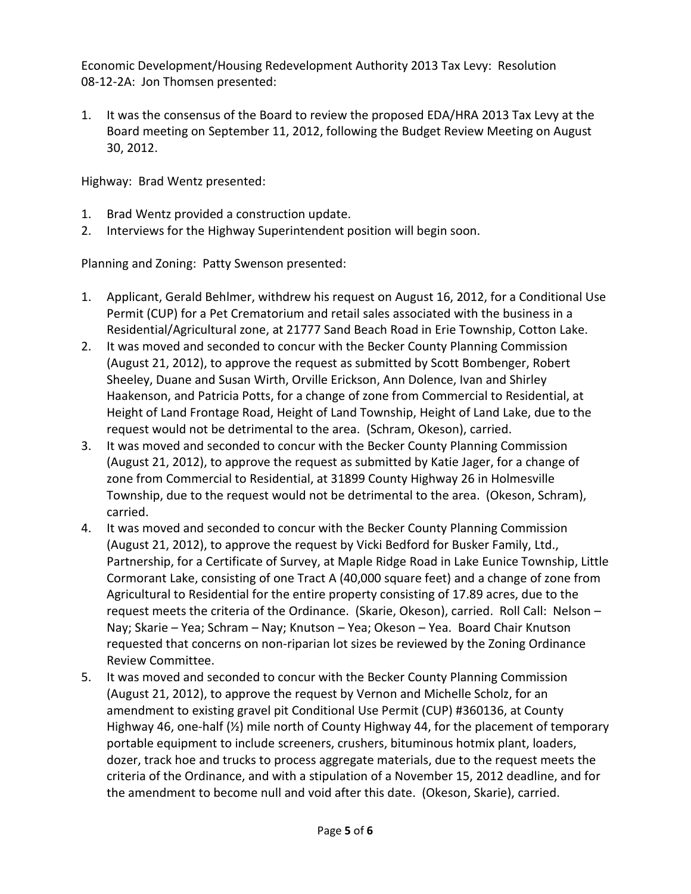Economic Development/Housing Redevelopment Authority 2013 Tax Levy: Resolution 08-12-2A: Jon Thomsen presented:

1. It was the consensus of the Board to review the proposed EDA/HRA 2013 Tax Levy at the Board meeting on September 11, 2012, following the Budget Review Meeting on August 30, 2012.

Highway: Brad Wentz presented:

- 1. Brad Wentz provided a construction update.
- 2. Interviews for the Highway Superintendent position will begin soon.

Planning and Zoning: Patty Swenson presented:

- 1. Applicant, Gerald Behlmer, withdrew his request on August 16, 2012, for a Conditional Use Permit (CUP) for a Pet Crematorium and retail sales associated with the business in a Residential/Agricultural zone, at 21777 Sand Beach Road in Erie Township, Cotton Lake.
- 2. It was moved and seconded to concur with the Becker County Planning Commission (August 21, 2012), to approve the request as submitted by Scott Bombenger, Robert Sheeley, Duane and Susan Wirth, Orville Erickson, Ann Dolence, Ivan and Shirley Haakenson, and Patricia Potts, for a change of zone from Commercial to Residential, at Height of Land Frontage Road, Height of Land Township, Height of Land Lake, due to the request would not be detrimental to the area. (Schram, Okeson), carried.
- 3. It was moved and seconded to concur with the Becker County Planning Commission (August 21, 2012), to approve the request as submitted by Katie Jager, for a change of zone from Commercial to Residential, at 31899 County Highway 26 in Holmesville Township, due to the request would not be detrimental to the area. (Okeson, Schram), carried.
- 4. It was moved and seconded to concur with the Becker County Planning Commission (August 21, 2012), to approve the request by Vicki Bedford for Busker Family, Ltd., Partnership, for a Certificate of Survey, at Maple Ridge Road in Lake Eunice Township, Little Cormorant Lake, consisting of one Tract A (40,000 square feet) and a change of zone from Agricultural to Residential for the entire property consisting of 17.89 acres, due to the request meets the criteria of the Ordinance. (Skarie, Okeson), carried. Roll Call: Nelson – Nay; Skarie – Yea; Schram – Nay; Knutson – Yea; Okeson – Yea. Board Chair Knutson requested that concerns on non-riparian lot sizes be reviewed by the Zoning Ordinance Review Committee.
- 5. It was moved and seconded to concur with the Becker County Planning Commission (August 21, 2012), to approve the request by Vernon and Michelle Scholz, for an amendment to existing gravel pit Conditional Use Permit (CUP) #360136, at County Highway 46, one-half (½) mile north of County Highway 44, for the placement of temporary portable equipment to include screeners, crushers, bituminous hotmix plant, loaders, dozer, track hoe and trucks to process aggregate materials, due to the request meets the criteria of the Ordinance, and with a stipulation of a November 15, 2012 deadline, and for the amendment to become null and void after this date. (Okeson, Skarie), carried.